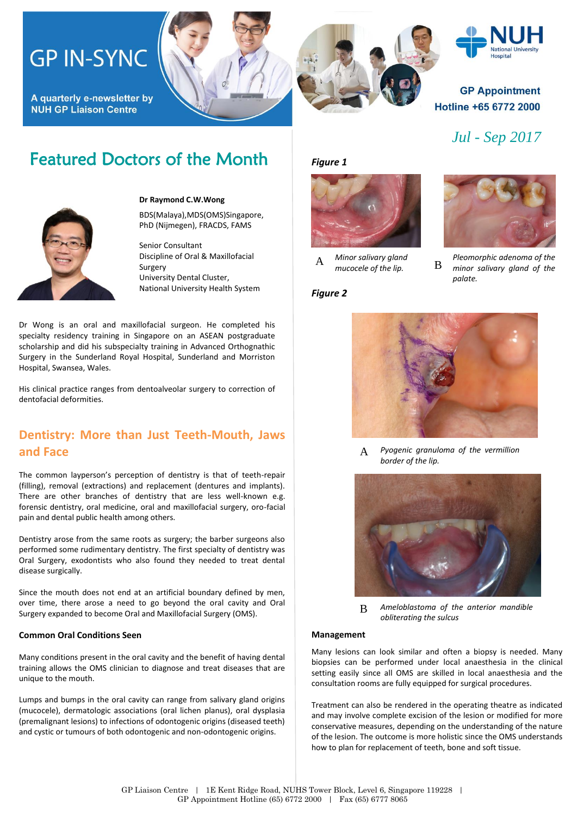## **GP IN-SYNC**

A quarterly e-newsletter by **NUH GP Liaison Centre** 

# **Hospital**

#### **GP Appointment** Hotline +65 6772 2000

*Jul - Sep 2017*

### Featured Doctors of the Month



#### **Dr Raymond C.W.Wong**

BDS(Malaya),MDS(OMS)Singapore, PhD (Nijmegen), FRACDS, FAMS

Senior Consultant Discipline of Oral & Maxillofacial Surgery University Dental Cluster, National University Health System

Dr Wong is an oral and maxillofacial surgeon. He completed his specialty residency training in Singapore on an ASEAN postgraduate scholarship and did his subspecialty training in Advanced Orthognathic Surgery in the Sunderland Royal Hospital, Sunderland and Morriston Hospital, Swansea, Wales.

His clinical practice ranges from dentoalveolar surgery to correction of dentofacial deformities.

### **Dentistry: More than Just Teeth-Mouth, Jaws and Face**

The common layperson's perception of dentistry is that of teeth-repair (filling), removal (extractions) and replacement (dentures and implants). There are other branches of dentistry that are less well-known e.g. forensic dentistry, oral medicine, oral and maxillofacial surgery, oro-facial pain and dental public health among others.

Dentistry arose from the same roots as surgery; the barber surgeons also performed some rudimentary dentistry. The first specialty of dentistry was Oral Surgery, exodontists who also found they needed to treat dental disease surgically.

Since the mouth does not end at an artificial boundary defined by men, over time, there arose a need to go beyond the oral cavity and Oral Surgery expanded to become Oral and Maxillofacial Surgery (OMS).

#### **Common Oral Conditions Seen**

Many conditions present in the oral cavity and the benefit of having dental training allows the OMS clinician to diagnose and treat diseases that are unique to the mouth.

Lumps and bumps in the oral cavity can range from salivary gland origins (mucocele), dermatologic associations (oral lichen planus), oral dysplasia (premalignant lesions) to infections of odontogenic origins (diseased teeth) and cystic or tumours of both odontogenic and non-odontogenic origins.

*Figure 1*



*Minor salivary gland mucocele of the lip.* <sup>A</sup> <sup>B</sup>





*Pleomorphic adenoma of the minor salivary gland of the palate.*



*Pyogenic granuloma of the vermillion border of the lip.*  A



B *Ameloblastoma of the anterior mandible obliterating the sulcus*

#### **Management**

Many lesions can look similar and often a biopsy is needed. Many biopsies can be performed under local anaesthesia in the clinical setting easily since all OMS are skilled in local anaesthesia and the consultation rooms are fully equipped for surgical procedures.

Treatment can also be rendered in the operating theatre as indicated and may involve complete excision of the lesion or modified for more conservative measures, depending on the understanding of the nature of the lesion. The outcome is more holistic since the OMS understands how to plan for replacement of teeth, bone and soft tissue.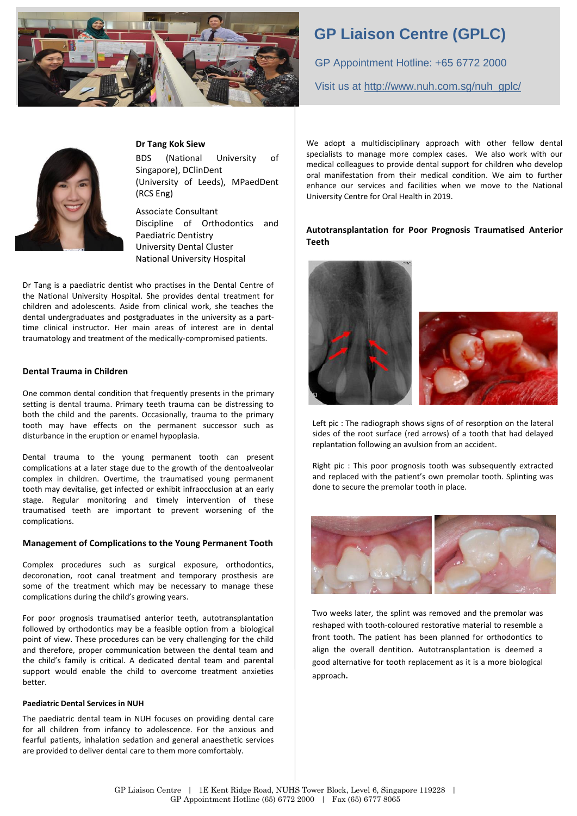

### **GP Liaison Centre (GPLC)**

GP Appointment Hotline: +65 6772 2000 Visit us at [http://www.nuh.com.sg/nuh\\_gplc/](http://www.nuh.com.sg/nuh_gplc/)



#### **Dr Tang Kok Siew**

BDS (National University of Singapore), DClinDent (University of Leeds), MPaedDent (RCS Eng)

Associate Consultant Discipline of Orthodontics and Paediatric Dentistry University Dental Cluster National University Hospital

Dr Tang is a paediatric dentist who practises in the Dental Centre of the National University Hospital. She provides dental treatment for children and adolescents. Aside from clinical work, she teaches the dental undergraduates and postgraduates in the university as a parttime clinical instructor. Her main areas of interest are in dental traumatology and treatment of the medically-compromised patients.

#### **Dental Trauma in Children**

One common dental condition that frequently presents in the primary setting is dental trauma. Primary teeth trauma can be distressing to both the child and the parents. Occasionally, trauma to the primary tooth may have effects on the permanent successor such as disturbance in the eruption or enamel hypoplasia.

Dental trauma to the young permanent tooth can present complications at a later stage due to the growth of the dentoalveolar complex in children. Overtime, the traumatised young permanent tooth may devitalise, get infected or exhibit infraocclusion at an early stage. Regular monitoring and timely intervention of these traumatised teeth are important to prevent worsening of the complications.

#### **Management of Complications to the Young Permanent Tooth**

Complex procedures such as surgical exposure, orthodontics, decoronation, root canal treatment and temporary prosthesis are some of the treatment which may be necessary to manage these complications during the child's growing years.

For poor prognosis traumatised anterior teeth, autotransplantation followed by orthodontics may be a feasible option from a biological point of view. These procedures can be very challenging for the child and therefore, proper communication between the dental team and the child's family is critical. A dedicated dental team and parental support would enable the child to overcome treatment anxieties better.

#### **Paediatric Dental Services in NUH**

The paediatric dental team in NUH focuses on providing dental care for all children from infancy to adolescence. For the anxious and fearful patients, inhalation sedation and general anaesthetic services are provided to deliver dental care to them more comfortably.

We adopt a multidisciplinary approach with other fellow dental specialists to manage more complex cases. We also work with our medical colleagues to provide dental support for children who develop oral manifestation from their medical condition. We aim to further enhance our services and facilities when we move to the National University Centre for Oral Health in 2019.

#### **Autotransplantation for Poor Prognosis Traumatised Anterior Teeth**



Left pic : The radiograph shows signs of of resorption on the lateral sides of the root surface (red arrows) of a tooth that had delayed replantation following an avulsion from an accident.

Right pic : This poor prognosis tooth was subsequently extracted and replaced with the patient's own premolar tooth. Splinting was done to secure the premolar tooth in place.



Two weeks later, the splint was removed and the premolar was reshaped with tooth-coloured restorative material to resemble a front tooth. The patient has been planned for orthodontics to align the overall dentition. Autotransplantation is deemed a good alternative for tooth replacement as it is a more biological approach.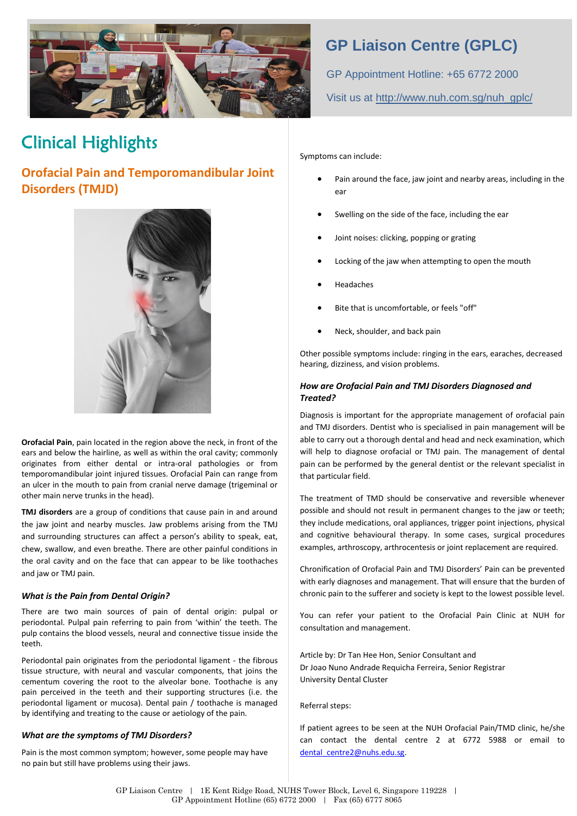

### Clinical Highlights

### **Orofacial Pain and Temporomandibular Joint Disorders (TMJD)**



**Orofacial Pain**, pain located in the region above the neck, in front of the ears and below the hairline, as well as within the oral cavity; commonly originates from either dental or intra-oral pathologies or from temporomandibular joint injured tissues. Orofacial Pain can range from an ulcer in the mouth to pain from cranial nerve damage (trigeminal or other main nerve trunks in the head).

**TMJ disorders** are a group of conditions that cause pain in and around the jaw joint and nearby muscles. Jaw problems arising from the TMJ and surrounding structures can affect a person's ability to speak, eat, chew, swallow, and even breathe. There are other painful conditions in the oral cavity and on the face that can appear to be like toothaches and jaw or TMJ pain.

#### *What is the Pain from Dental Origin?*

There are two main sources of pain of dental origin: pulpal or periodontal. Pulpal pain referring to pain from 'within' the teeth. The pulp contains the blood vessels, neural and connective tissue inside the teeth.

Periodontal pain originates from the periodontal ligament - the fibrous tissue structure, with neural and vascular components, that joins the cementum covering the root to the alveolar bone. Toothache is any pain perceived in the teeth and their supporting structures (i.e. the periodontal ligament or mucosa). Dental pain / toothache is managed by identifying and treating to the cause or aetiology of the pain.

#### *What are the symptoms of TMJ Disorders?*

Pain is the most common symptom; however, some people may have no pain but still have problems using their jaws.

### **GP Liaison Centre (GPLC)**

GP Appointment Hotline: +65 6772 2000 Visit us at [http://www.nuh.com.sg/nuh\\_gplc/](http://www.nuh.com.sg/nuh_gplc/)

Symptoms can include:

- Pain around the face, jaw joint and nearby areas, including in the ear
- Swelling on the side of the face, including the ear
- Joint noises: clicking, popping or grating
- Locking of the jaw when attempting to open the mouth
- Headaches
- Bite that is uncomfortable, or feels "off"
- Neck, shoulder, and back pain

Other possible symptoms include: ringing in the ears, earaches, decreased hearing, dizziness, and vision problems.

#### *How are Orofacial Pain and TMJ Disorders Diagnosed and Treated?*

Diagnosis is important for the appropriate management of orofacial pain and TMJ disorders. Dentist who is specialised in pain management will be able to carry out a thorough dental and head and neck examination, which will help to diagnose orofacial or TMJ pain. The management of dental pain can be performed by the general dentist or the relevant specialist in that particular field.

The treatment of TMD should be conservative and reversible whenever possible and should not result in permanent changes to the jaw or teeth; they include medications, oral appliances, trigger point injections, physical and cognitive behavioural therapy. In some cases, surgical procedures examples, arthroscopy, arthrocentesis or joint replacement are required.

Chronification of Orofacial Pain and TMJ Disorders' Pain can be prevented with early diagnoses and management. That will ensure that the burden of chronic pain to the sufferer and society is kept to the lowest possible level.

You can refer your patient to the Orofacial Pain Clinic at NUH for consultation and management.

Article by: Dr Tan Hee Hon, Senior Consultant and D[r Joao Nuno Andrade Requicha Ferreira,](javascript:void(0);) Senior Registrar University Dental Cluster

Referral steps:

If patient agrees to be seen at the NUH Orofacial Pain/TMD clinic, he/she can contact the dental centre 2 at 6772 5988 or email to dental\_centre2@nuhs.edu.sg.